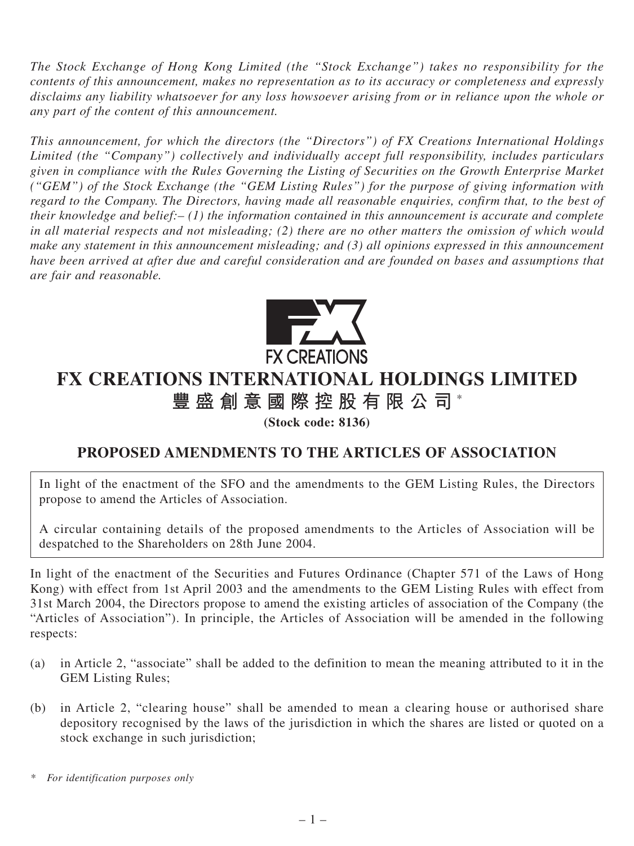*The Stock Exchange of Hong Kong Limited (the "Stock Exchange") takes no responsibility for the contents of this announcement, makes no representation as to its accuracy or completeness and expressly disclaims any liability whatsoever for any loss howsoever arising from or in reliance upon the whole or any part of the content of this announcement.*

*This announcement, for which the directors (the "Directors") of FX Creations International Holdings Limited (the "Company") collectively and individually accept full responsibility, includes particulars given in compliance with the Rules Governing the Listing of Securities on the Growth Enterprise Market ("GEM") of the Stock Exchange (the "GEM Listing Rules") for the purpose of giving information with regard to the Company. The Directors, having made all reasonable enquiries, confirm that, to the best of their knowledge and belief:– (1) the information contained in this announcement is accurate and complete in all material respects and not misleading; (2) there are no other matters the omission of which would make any statement in this announcement misleading; and (3) all opinions expressed in this announcement have been arrived at after due and careful consideration and are founded on bases and assumptions that are fair and reasonable.*



## **FX CREATIONS INTERNATIONAL HOLDINGS LIMITED 豐盛創意國際控股有限公司** \*

**(Stock code: 8136)**

## **PROPOSED AMENDMENTS TO THE ARTICLES OF ASSOCIATION**

In light of the enactment of the SFO and the amendments to the GEM Listing Rules, the Directors propose to amend the Articles of Association.

A circular containing details of the proposed amendments to the Articles of Association will be despatched to the Shareholders on 28th June 2004.

In light of the enactment of the Securities and Futures Ordinance (Chapter 571 of the Laws of Hong Kong) with effect from 1st April 2003 and the amendments to the GEM Listing Rules with effect from 31st March 2004, the Directors propose to amend the existing articles of association of the Company (the "Articles of Association"). In principle, the Articles of Association will be amended in the following respects:

- (a) in Article 2, "associate" shall be added to the definition to mean the meaning attributed to it in the GEM Listing Rules;
- (b) in Article 2, "clearing house" shall be amended to mean a clearing house or authorised share depository recognised by the laws of the jurisdiction in which the shares are listed or quoted on a stock exchange in such jurisdiction;

*<sup>\*</sup> For identification purposes only*